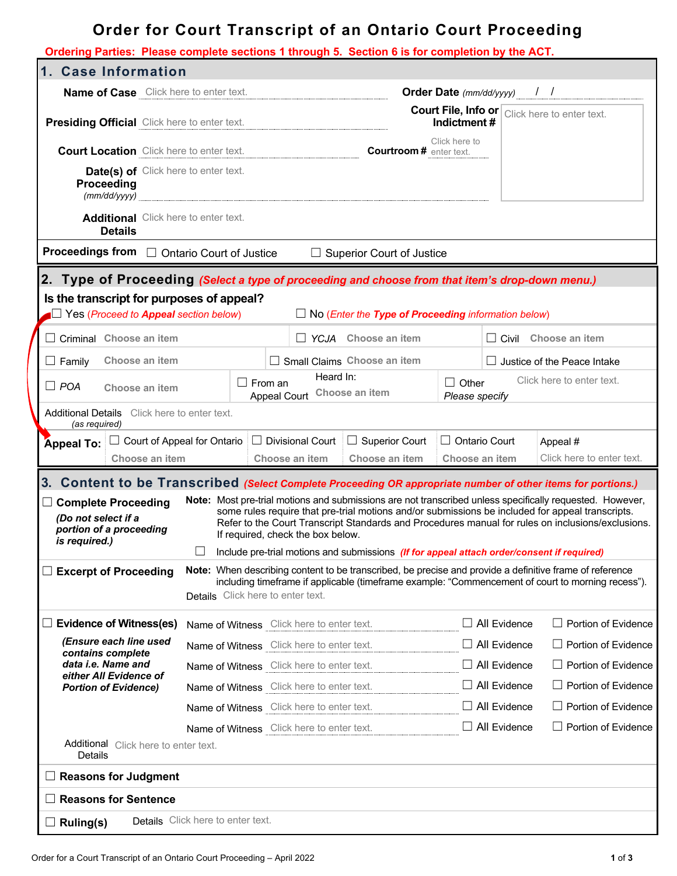# **Order for Court Transcript of an Ontario Court Proceeding**

| Ordering Parties: Please complete sections 1 through 5. Section 6 is for completion by the ACT.                                                                                                                                                                                                                                                                                                                                                                   |                                                                                                                                         |                                              |                                                                                            |                      |  |                                                                                                                                                                                                              |
|-------------------------------------------------------------------------------------------------------------------------------------------------------------------------------------------------------------------------------------------------------------------------------------------------------------------------------------------------------------------------------------------------------------------------------------------------------------------|-----------------------------------------------------------------------------------------------------------------------------------------|----------------------------------------------|--------------------------------------------------------------------------------------------|----------------------|--|--------------------------------------------------------------------------------------------------------------------------------------------------------------------------------------------------------------|
| 1. Case Information                                                                                                                                                                                                                                                                                                                                                                                                                                               |                                                                                                                                         |                                              |                                                                                            |                      |  |                                                                                                                                                                                                              |
| <b>Name of Case</b> Click here to enter text.                                                                                                                                                                                                                                                                                                                                                                                                                     |                                                                                                                                         | <b>Order Date</b> (mm/dd/yyyy) $\frac{1}{2}$ |                                                                                            |                      |  |                                                                                                                                                                                                              |
| Presiding Official Click here to enter text.                                                                                                                                                                                                                                                                                                                                                                                                                      |                                                                                                                                         |                                              |                                                                                            | Indictment#          |  | <b>Court File, Info or Click here to enter text.</b>                                                                                                                                                         |
| <b>Court Location</b> Click here to enter text.                                                                                                                                                                                                                                                                                                                                                                                                                   |                                                                                                                                         |                                              | <b>Courtroom # enter text.</b>                                                             | Click here to        |  |                                                                                                                                                                                                              |
| Date(s) of Click here to enter text.<br>Proceeding<br>(mm/dd/yyyy)                                                                                                                                                                                                                                                                                                                                                                                                |                                                                                                                                         |                                              |                                                                                            |                      |  |                                                                                                                                                                                                              |
| <b>Additional</b> Click here to enter text.<br><b>Details</b>                                                                                                                                                                                                                                                                                                                                                                                                     |                                                                                                                                         |                                              |                                                                                            |                      |  |                                                                                                                                                                                                              |
| Proceedings from □ Ontario Court of Justice                                                                                                                                                                                                                                                                                                                                                                                                                       |                                                                                                                                         |                                              | $\Box$ Superior Court of Justice                                                           |                      |  |                                                                                                                                                                                                              |
| 2. Type of Proceeding (Select a type of proceeding and choose from that item's drop-down menu.)                                                                                                                                                                                                                                                                                                                                                                   |                                                                                                                                         |                                              |                                                                                            |                      |  |                                                                                                                                                                                                              |
| Is the transcript for purposes of appeal?<br>$\blacksquare$ Yes (Proceed to <b>Appeal</b> section below)<br>$\Box$ No (Enter the Type of Proceeding information below)                                                                                                                                                                                                                                                                                            |                                                                                                                                         |                                              |                                                                                            |                      |  |                                                                                                                                                                                                              |
| Criminal Choose an item                                                                                                                                                                                                                                                                                                                                                                                                                                           |                                                                                                                                         |                                              | □ YCJA Choose an item                                                                      |                      |  | $\Box$ Civil Choose an item                                                                                                                                                                                  |
| Choose an item<br>$\Box$ Family                                                                                                                                                                                                                                                                                                                                                                                                                                   |                                                                                                                                         |                                              | Small Claims Choose an item                                                                |                      |  | $\Box$ Justice of the Peace Intake                                                                                                                                                                           |
| $\Box$ POA<br>Choose an item                                                                                                                                                                                                                                                                                                                                                                                                                                      | Heard In:<br>Click here to enter text.<br>$\Box$ Other<br>$\sqcup$ From an $\sqcup$<br>Choose an item<br>Appeal Court<br>Please specify |                                              |                                                                                            |                      |  |                                                                                                                                                                                                              |
| <b>Additional Details</b> Click here to enter text.<br>(as required)                                                                                                                                                                                                                                                                                                                                                                                              |                                                                                                                                         |                                              |                                                                                            |                      |  |                                                                                                                                                                                                              |
| $\Box$ Court of Appeal for Ontario<br><b>Appeal To:</b>                                                                                                                                                                                                                                                                                                                                                                                                           |                                                                                                                                         | $\Box$ Divisional Court                      | $\Box$ Superior Court                                                                      | $\Box$ Ontario Court |  | Appeal #                                                                                                                                                                                                     |
| Choose an item                                                                                                                                                                                                                                                                                                                                                                                                                                                    |                                                                                                                                         | Choose an item                               | Choose an item                                                                             | Choose an item       |  | Click here to enter text.                                                                                                                                                                                    |
| 3. Content to be Transcribed (Select Complete Proceeding OR appropriate number of other items for portions.)                                                                                                                                                                                                                                                                                                                                                      |                                                                                                                                         |                                              |                                                                                            |                      |  |                                                                                                                                                                                                              |
| Note: Most pre-trial motions and submissions are not transcribed unless specifically requested. However,<br><b>Complete Proceeding</b><br>$\Box$<br>some rules require that pre-trial motions and/or submissions be included for appeal transcripts.<br>(Do not select if a<br>Refer to the Court Transcript Standards and Procedures manual for rules on inclusions/exclusions.<br>portion of a proceeding<br>If required, check the box below.<br>is required.) |                                                                                                                                         |                                              |                                                                                            |                      |  |                                                                                                                                                                                                              |
|                                                                                                                                                                                                                                                                                                                                                                                                                                                                   |                                                                                                                                         |                                              | Include pre-trial motions and submissions (If for appeal attach order/consent if required) |                      |  |                                                                                                                                                                                                              |
| <b>Excerpt of Proceeding</b><br>$\Box$                                                                                                                                                                                                                                                                                                                                                                                                                            | Details Click here to enter text.                                                                                                       |                                              |                                                                                            |                      |  | Note: When describing content to be transcribed, be precise and provide a definitive frame of reference<br>including timeframe if applicable (timeframe example: "Commencement of court to morning recess"). |
| <b>Evidence of Witness(es)</b>                                                                                                                                                                                                                                                                                                                                                                                                                                    |                                                                                                                                         |                                              | Name of Witness Click here to enter text.                                                  | $\Box$ All Evidence  |  | $\Box$ Portion of Evidence                                                                                                                                                                                   |
| (Ensure each line used<br>contains complete                                                                                                                                                                                                                                                                                                                                                                                                                       |                                                                                                                                         |                                              | Name of Witness Click here to enter text.                                                  | $\Box$ All Evidence  |  | $\Box$ Portion of Evidence                                                                                                                                                                                   |
| data i.e. Name and<br>either All Evidence of<br><b>Portion of Evidence)</b>                                                                                                                                                                                                                                                                                                                                                                                       |                                                                                                                                         |                                              | Name of Witness Click here to enter text. $\Box$ All Evidence                              |                      |  | $\Box$ Portion of Evidence                                                                                                                                                                                   |
|                                                                                                                                                                                                                                                                                                                                                                                                                                                                   |                                                                                                                                         |                                              | Name of Witness Click here to enter text. $\Box$ All Evidence                              |                      |  | $\Box$ Portion of Evidence                                                                                                                                                                                   |
|                                                                                                                                                                                                                                                                                                                                                                                                                                                                   |                                                                                                                                         |                                              | Name of Witness Click here to enter text. $\Box$ All Evidence                              |                      |  | $\Box$ Portion of Evidence                                                                                                                                                                                   |
|                                                                                                                                                                                                                                                                                                                                                                                                                                                                   |                                                                                                                                         |                                              | Name of Witness Click here to enter text.                                                  | $\Box$ All Evidence  |  | $\Box$ Portion of Evidence                                                                                                                                                                                   |
| Additional Click here to enter text.<br>Details                                                                                                                                                                                                                                                                                                                                                                                                                   |                                                                                                                                         |                                              |                                                                                            |                      |  |                                                                                                                                                                                                              |
| <b>Reasons for Judgment</b>                                                                                                                                                                                                                                                                                                                                                                                                                                       |                                                                                                                                         |                                              |                                                                                            |                      |  |                                                                                                                                                                                                              |
| <b>Reasons for Sentence</b>                                                                                                                                                                                                                                                                                                                                                                                                                                       |                                                                                                                                         |                                              |                                                                                            |                      |  |                                                                                                                                                                                                              |
| <b>Ruling(s)</b>                                                                                                                                                                                                                                                                                                                                                                                                                                                  | Details Click here to enter text.                                                                                                       |                                              |                                                                                            |                      |  |                                                                                                                                                                                                              |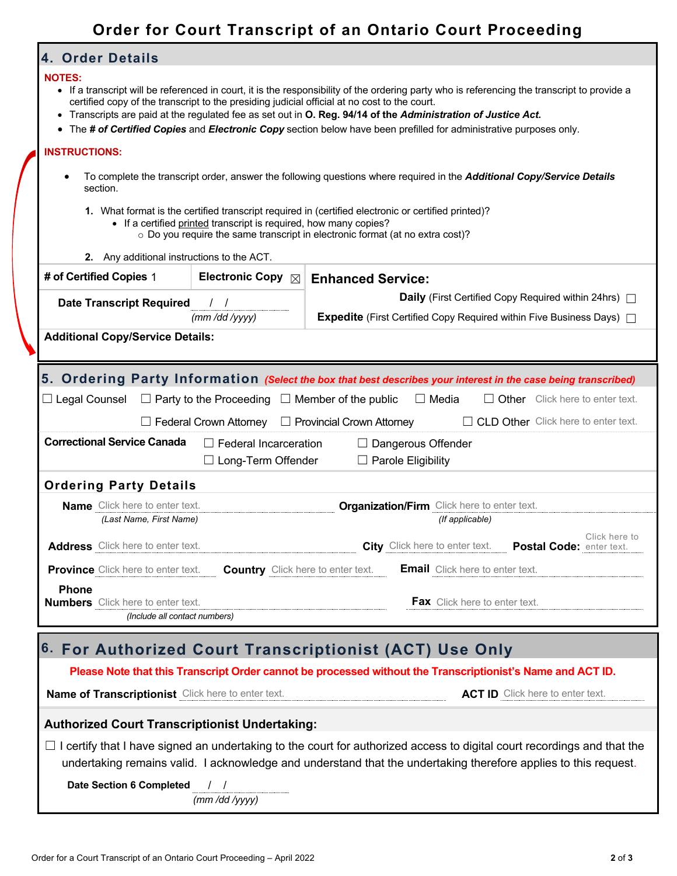## **Order for Court Transcript of an Ontario Court Proceeding**

### **4. Order Details**

#### **NOTES:**

- If a transcript will be referenced in court, it is the responsibility of the ordering party who is referencing the transcript to provide a certified copy of the transcript to the presiding judicial official at no cost to the court.
- Transcripts are paid at the regulated fee as set out in **O. Reg. 94/14 of the** *Administration of Justice Act.*
- The *# of Certified Copies* and *Electronic Copy* section below have been prefilled for administrative purposes only.

#### **INSTRUCTIONS:**

- To complete the transcript order, answer the following questions where required in the *Additional Copy/Service Details* section.
	- **1.** What format is the certified transcript required in (certified electronic or certified printed)?
		- If a certified printed transcript is required, how many copies?
			- o Do you require the same transcript in electronic format (at no extra cost)?

|                                                                                                                | 2. Any additional instructions to the ACT.                                  |                             |                           |                                                                                  |                                        |               |
|----------------------------------------------------------------------------------------------------------------|-----------------------------------------------------------------------------|-----------------------------|---------------------------|----------------------------------------------------------------------------------|----------------------------------------|---------------|
| # of Certified Copies 1                                                                                        |                                                                             | Electronic Copy $\boxtimes$ | <b>Enhanced Service:</b>  |                                                                                  |                                        |               |
| <b>Date Transcript Required</b>                                                                                | $\left  \begin{array}{cc} \end{array} \right $                              |                             |                           | <b>Daily</b> (First Certified Copy Required within 24hrs) $\Box$                 |                                        |               |
|                                                                                                                | (mm / dd / yyy)                                                             |                             |                           | <b>Expedite</b> (First Certified Copy Required within Five Business Days) $\Box$ |                                        |               |
| <b>Additional Copy/Service Details:</b>                                                                        |                                                                             |                             |                           |                                                                                  |                                        |               |
|                                                                                                                |                                                                             |                             |                           |                                                                                  |                                        |               |
| 5. Ordering Party Information (Select the box that best describes your interest in the case being transcribed) |                                                                             |                             |                           |                                                                                  |                                        |               |
| $\Box$ Legal Counsel $\Box$ Party to the Proceeding $\Box$ Member of the public                                |                                                                             |                             |                           | $\Box$ Media                                                                     | $\Box$ Other Click here to enter text. |               |
| $\Box$ CLD Other Click here to enter text.<br>Federal Crown Attorney $\Box$ Provincial Crown Attorney          |                                                                             |                             |                           |                                                                                  |                                        |               |
| <b>Correctional Service Canada</b><br>$\Box$ Federal Incarceration<br>$\Box$ Dangerous Offender                |                                                                             |                             |                           |                                                                                  |                                        |               |
|                                                                                                                |                                                                             | $\Box$ Long-Term Offender   | $\Box$ Parole Eligibility |                                                                                  |                                        |               |
| <b>Ordering Party Details</b>                                                                                  |                                                                             |                             |                           |                                                                                  |                                        |               |
| <b>Name</b> Click here to enter text.                                                                          |                                                                             |                             |                           | <b>Organization/Firm</b> Click here to enter text.                               |                                        |               |
|                                                                                                                | (Last Name, First Name)                                                     |                             |                           | (If applicable)                                                                  |                                        |               |
|                                                                                                                | Address Click here to enter text.                                           |                             |                           | City Click here to enter text. Postal Code: enter text.                          |                                        | Click here to |
|                                                                                                                | <b>Province</b> Click here to enter text. Country Click here to enter text. |                             |                           | <b>Email</b> Click here to enter text.                                           |                                        |               |
| Phone<br><b>Numbers</b> Click here to enter text.                                                              |                                                                             |                             |                           | <b>Fax</b> Click here to enter text.                                             |                                        |               |
| (Include all contact numbers)                                                                                  |                                                                             |                             |                           |                                                                                  |                                        |               |

## **6. For Authorized Court Transcriptionist (ACT) Use Only**

#### **Please Note that this Transcript Order cannot be processed without the Transcriptionist's Name and ACT ID.**

**Name of Transcriptionist** Click here to enter text. **ACT ID** Click here to enter text.

### **Authorized Court Transcriptionist Undertaking:**

 $\Box$  I certify that I have signed an undertaking to the court for authorized access to digital court recordings and that the undertaking remains valid. I acknowledge and understand that the undertaking therefore applies to this request.

**Date Section 6 Completed** / / *(mm /dd /yyyy)*